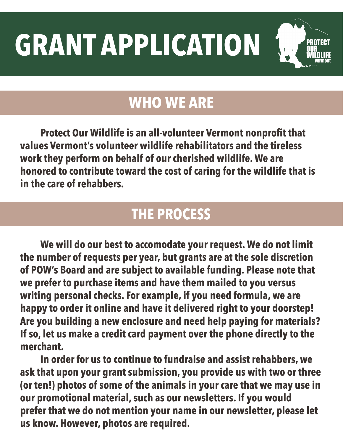**GRANT APPLICATION**

## **WHO WE ARE**

**Protect Our Wildlife is an all-volunteer Vermont nonprofit that values Vermont's volunteer wildlife rehabilitators and the tireless work they perform on behalf of our cherished wildlife. We are honored to contribute toward the cost of caring for the wildlife that is in the care of rehabbers.** 

## **THE PROCESS**

**We will do our best to accomodate your request. We do not limit the number of requests per year, but grants are at the sole discretion of POW's Board and are subject to available funding. Please note that we prefer to purchase items and have them mailed to you versus writing personal checks. For example, if you need formula, we are happy to order it online and have it delivered right to your doorstep! Are you building a new enclosure and need help paying for materials? If so, let us make a credit card payment over the phone directly to the merchant.** 

**In order for us to continue to fundraise and assist rehabbers, we ask that upon your grant submission, you provide us with two or three (or ten!) photos of some of the animals in your care that we may use in our promotional material, such as our newsletters. If you would prefer that we do not mention your name in our newsletter, please let us know. However, photos are required.**